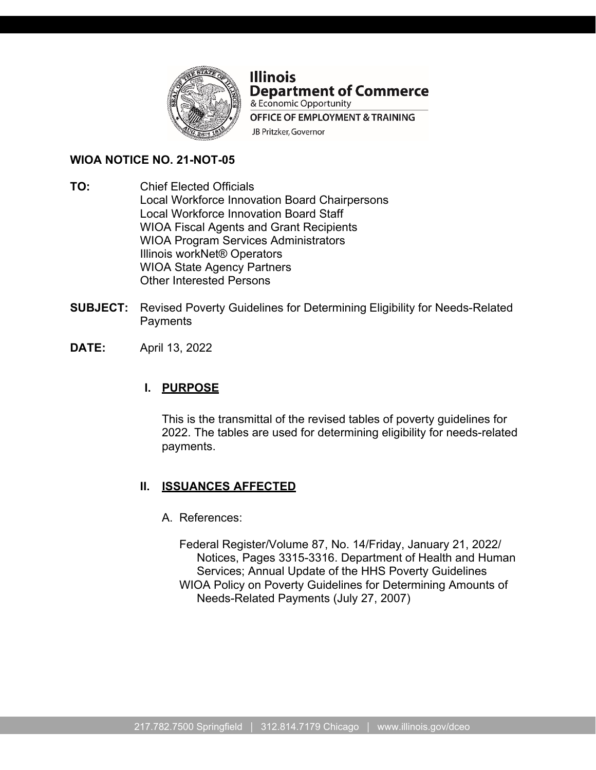

#### **Illinois Department of Commerce** & Economic Opportunity

**OFFICE OF EMPLOYMENT & TRAINING** JB Pritzker, Governor

**WIOA NOTICE NO. 21-NOT-05**

- **TO:** Chief Elected Officials Local Workforce Innovation Board Chairpersons Local Workforce Innovation Board Staff WIOA Fiscal Agents and Grant Recipients WIOA Program Services Administrators Illinois workNet® Operators WIOA State Agency Partners Other Interested Persons
- **SUBJECT:** Revised Poverty Guidelines for Determining Eligibility for Needs-Related **Payments**
- **DATE:** April 13, 2022

# **I. PURPOSE**

This is the transmittal of the revised tables of poverty guidelines for 2022. The tables are used for determining eligibility for needs-related payments.

# **II. ISSUANCES AFFECTED**

- A. References:
	- Federal Register/Volume 87, No. 14/Friday, January 21, 2022/ Notices, Pages 3315-3316. Department of Health and Human Services; Annual Update of the HHS Poverty Guidelines WIOA Policy on Poverty Guidelines for Determining Amounts of Needs-Related Payments (July 27, 2007)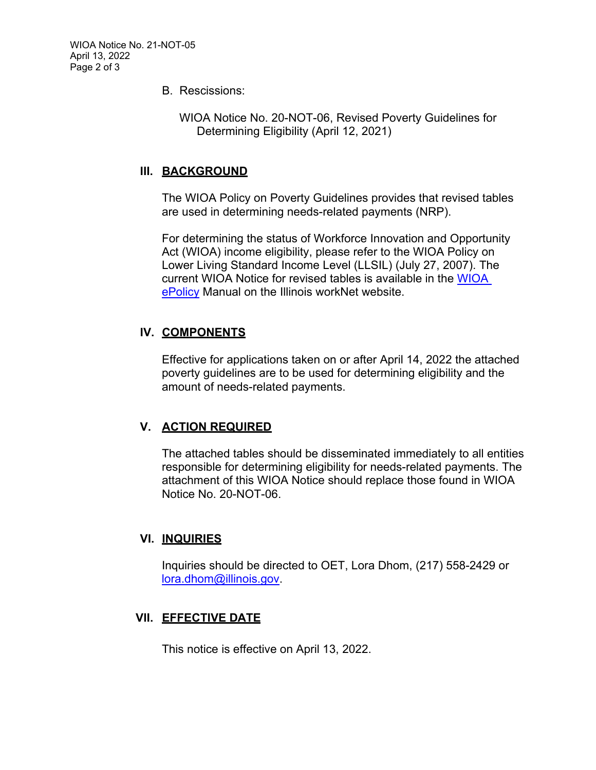B. Rescissions:

WIOA Notice No. 20-NOT-06, Revised Poverty Guidelines for Determining Eligibility (April 12, 2021)

#### **III. BACKGROUND**

The WIOA Policy on Poverty Guidelines provides that revised tables are used in determining needs-related payments (NRP).

For determining the status of Workforce Innovation and Opportunity Act (WIOA) income eligibility, please refer to the WIOA Policy on Lower Living Standard Income Level (LLSIL) (July 27, 2007). The current WIOA Notice for revised tables is available in the [WIOA](https://apps.il-work-net.com/WIOAPolicy/Policy/Home)  [ePolicy](https://apps.il-work-net.com/WIOAPolicy/Policy/Home) Manual on the Illinois workNet website.

### **IV. COMPONENTS**

Effective for applications taken on or after April 14, 2022 the attached poverty guidelines are to be used for determining eligibility and the amount of needs-related payments.

### **V. ACTION REQUIRED**

The attached tables should be disseminated immediately to all entities responsible for determining eligibility for needs-related payments. The attachment of this WIOA Notice should replace those found in WIOA Notice No. 20-NOT-06.

#### **VI. INQUIRIES**

Inquiries should be directed to OET, Lora Dhom, (217) 558-2429 or [lora.dhom@illinois.gov.](mailto:lora.dhom@illinois.gov)

### **VII. EFFECTIVE DATE**

This notice is effective on April 13, 2022.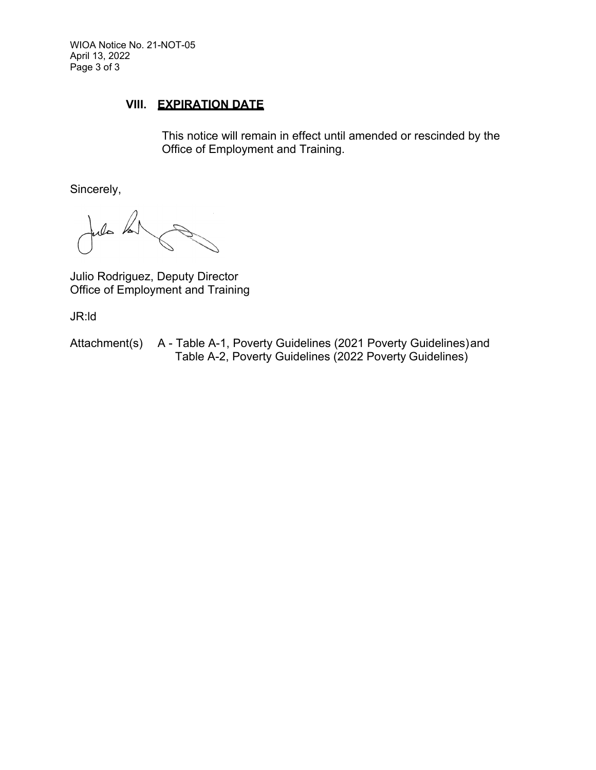WIOA Notice No. 21-NOT-05 April 13, 2022 Page 3 of 3

#### **VIII. EXPIRATION DATE**

This notice will remain in effect until amended or rescinded by the Office of Employment and Training.

Sincerely,

file Vs

Julio Rodriguez, Deputy Director Office of Employment and Training

JR:ld

Attachment(s) A - Table A-1, Poverty Guidelines (2021 Poverty Guidelines) and Table A-2, Poverty Guidelines (2022 Poverty Guidelines)